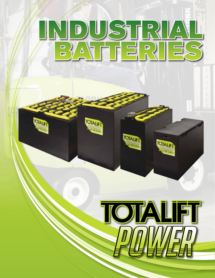#### $\Box$ <u>ል</u> 킈  $\mathbf{D}_{\mathcal{L}}$  $\Box$ T.  $\Delta$ ═ г

**IOTALET** 

**TOTALIFT** 

**TOTALIFT** W



**TOTALIFT**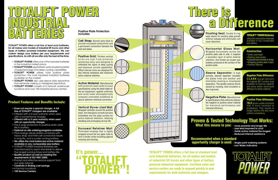### Positive Plate Protection

### Proven & Tested Technology That Works: What this means to you: - more powerful and longer life





- 
- Less lead exposed to acid
- Holds active material the longest
- Reduced internal resistance



- 
- **opportunity charger is used:** Single point watering systems - Low Water Indicators





TOTALIFT® POWER offers a full line of standard lead acid industrial batteries, for all makes and models of industrial lift trucks and other types of battery powered industrial equipment. Certified sales and service centers are ready to respond quickly to your requirements for both batteries and chargers.

## Recommended when a standard

- **TOTALIFT<sup>®</sup> POWER** offers one of the heaviest batteries in the industrial market place.
- **TOTALIFT<sup>®</sup> POWER** uses thirteen vertical wires for better charge/recharge and deep cycling capabilities.
- **TOTALIFT<sup>®</sup> POWER** utilizes total positive plate protection, the most insulated industrial batteries available on the market.
- **TOTALIFT<sup>®</sup> POWER** also uses sleeve style separators that eliminate missing or misaligned separators.
- **TOTALIFT<sup>®</sup> POWER** consists of 6 network warehouse locations and over 100 industrial service centers.

TOTALIFT® POWER offers a full line of lead acid batteries, for all makes and models of industrial lift trucks and other types of battery powered industrial equipment. We can custom design your battery per your requirements and specifications. As with all we offer only the best all the time.

**Positive Grid: Thirteen vertical** wires are cast from premium antimonial alloy and designed to withstand the rigors of deep cycling and maximum current capabilities. Offset internal wires are designed for less internal resistance and maximum active material retention.

Active Material: Manufactured with premium lead oxide to exact specifications using the latest state-ofthe-art equipment, applied uniformly and cured under atmospherically computer controlled conditions to assure optimum chemical conversion.

Wrapped vertically around the positive plate, the fiberglass strands become embedded into the plate surface for active material retention, reducing shedding and prolonging service life.

Cell Strap: Burned extra thick to provide increased conductivity and a permanent connection between the post and plates.

- Does not require a special charger. A full line of TOTALIFT® chargers are available.
- Offered with a 5-year warranty when used with a conventional charger.
- Offered with a 3-year warranty when used with an opportunity charger.
- The 5 wrap protection to positive plate adds life to battery.
- Optional on-site watering programs available.
- Thick energy dense plates combined with heavy strap and inter-cell connectors results in long life, and a cooler running battery.
- We utilize the most balanced active material available in any comparable size battery.
- TOTALIFT® POWER Industrial Batteries are manufactured to exact standards to deliver the longest running times and battery life.
- Quality product as well as meeting the requirements of ISO 9001:2000.
- Prompt and effective service support from our wide network.
- Creativity in finding cost savings.
- 6 Factory Locations:
- 100 Service Centers

Sleeve Separator: A high porosity, sleeved separator insulated the plates from one another and eliminates missing or misaligned separators. This greatly reduces shorts caused by mossing. Acid circulation is also improved.

> **TBLS** gives a plate structure that is more resistant to breakdown. This results in longer battery life and more uniform consistency.

#### Product Features and Benefits Include:

#### Vertical Slyver-clad Mat:

#### Koroseal Retainer Mat:

Perforated envelope that is tightly wrapped around the two glass mats to form a binder while insulating against mossing and shorting.

Floating Seal: Double O-ring seals allows for positive plate growth without leakage and eliminates cell cover distortion.

Horizontal Glass Mat: Wrapped horizontally across the positive plate side to side, it supplies a secondary layer of active material retention, and breaks up oxygen gas bubbles produced at the surface of the positive plate.

#### Negative Plate Difference

CLARK design delivers the highest BET surface area available to improve capacity and allow better electrolyte diffusion to active material.

Negative Plate: Manufactured to specifications that uniformly balance the negative to positive active material for maximum performance and chemical efficiency.

#### Positive Plate Difference

#### TOTALIFT® POWER Batteries

utilize the most active materials available in any comparable size battery.

#### Construction:

- Grids (cast lead)
- Pasting (lead paste)
- Curing (free lead conversion & drying)
- Wrapping (positive plate wraps)
- Positive Sleeved